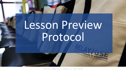# Lesson Preview Protocol

© 2017 Relay Graduate School of Education. All rights reserved.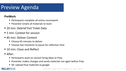## Preview Agenda

### **PreWork**

- Participants complete all online coursework
- **Presenter emails all materials to team**
- 20 min: Debrief Exit Ticket Data
- 5 min: Context for session
- 85 min: Deliver Content
	- Choose 65 minutes to deliver
	- Choose two moments to pause for reflection time
- 10 min: Close and Reflect
- After:
	- **Participants work on session bring ideas to Prep**
	- Presenter makes changes and sends materials out again before Prep
	- All: Upload final materials to google

### **RELAY/GSE**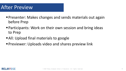### After Preview

- **Presenter: Makes changes and sends materials out again** before Prep
- Participants: Work on their own session and bring ideas to Prep
- **All: Upload final materials to google**
- **Previewer: Uploads video and shares preview link**

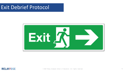### Exit Debrief Protocol



#### **RELAY/GSE**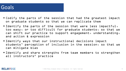### Goals

- Codify the parts of the session that had the greatest impact on graduate students so that we can replicate them
- $\blacksquare$  Identify the parts of the session that were less impactful $\lrcorner$ too easy, or too difficult for graduate students, so that we can shift our practice to support engagement, understanding, and action & expression
- Identify ways that our instructional decisions impact students' perception of inclusion in the session, so that we can mitigate bias
- Identify and share strengths from team members to strengthen all instructors' practice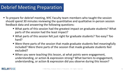### Debrief Meeting Preparation

- To prepare for debrief meeting, NYC Faculty team members who taught the session should spend 30 minutes reviewing the quantitative and qualitative in-person session feedback data and answering the following questions:
	- What parts of this session had the greatest impact on graduate students? What parts of the session had the least impact?
	- What parts of this session felt just right for graduate students? Too easy? Too hard?
	- Were there parts of the session that made graduate students feel meaningfully included? Were there parts of the session that made graduate students feel excluded?
	- When you were teaching this lesson, at what points were engagement, understanding, or action & expression strong? What barriers to engagement, understanding, or action & expression did you observe during this lesson?

#### **RELAY/GSE**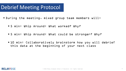## Debrief Meeting Protocol

- During the meeting, mixed group team members will:
	- 5 min: Whip Around: What worked? Why?
	- 5 min: Whip Around: What could be stronger? Why?
	- 10 min: Collaboratively brainstorm how you will debrief this data at the beginning of your next class